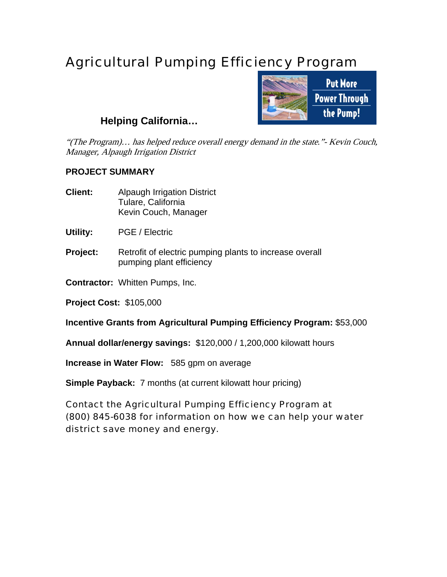## Agricultural Pumping Efficiency Program



## **Helping California…**

"(The Program)... has helped reduce overall energy demand in the state." Kevin Couch, Manager, Alpaugh Irrigation District

## **PROJECT SUMMARY**

- **Client:** Alpaugh Irrigation District Tulare, California Kevin Couch, Manager
- **Utility:** PGE / Electric
- **Project:** Retrofit of electric pumping plants to increase overall pumping plant efficiency
- **Contractor:** Whitten Pumps, Inc.

**Project Cost:** \$105,000

**Incentive Grants from Agricultural Pumping Efficiency Program:** \$53,000

**Annual dollar/energy savings:** \$120,000 / 1,200,000 kilowatt hours

**Increase in Water Flow:** 585 gpm on average

**Simple Payback:** 7 months (at current kilowatt hour pricing)

Contact the Agricultural Pumping Efficiency Program at (800) 845-6038 for information on how we can help your water district save money and energy.